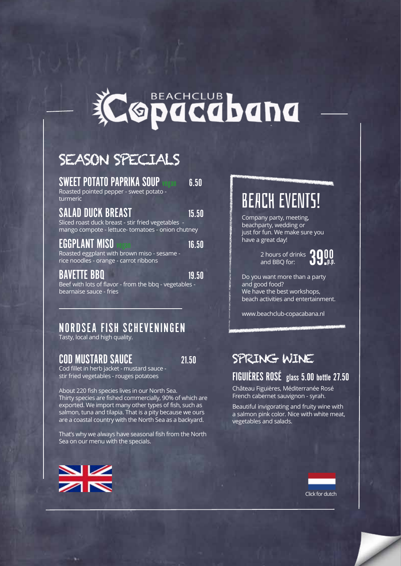

### SEASON SPECIALS

SWEET POTATO PAPRIKA SOUP vegan 6.50

Roasted pointed pepper - sweet potato turmeric

SALAD DUCK BREAST 15.50

Sliced roast duck breast - stir fried vegetables mango compote - lettuce- tomatoes - onion chutney

EGGPLANT MISO vegan 16.50 Roasted eggplant with brown miso - sesame rice noodles - orange - carrot ribbons

BAVETTE BBQ 19.50 Beef with lots of flavor - from the bbq - vegetables bearnaise sauce - fries

### NORDSEA FISH SCHEVENINGEN

Tasty, local and high quality.

### COD MUSTARD SAUCE 21.50

Cod fillet in herb jacket - mustard sauce stir fried vegetables - rouges potatoes

About 220 fish species lives in our North Sea. Thirty species are fished commercially, 90% of which are exported. We import many other types of fish, such as salmon, tuna and tilapia. That is a pity because we ours are a coastal country with the North Sea as a backyard.

That's why we always have seasonal fish from the North Sea on our menu with the specials.



## BEACH EVENTS!

Company party, meeting, beachparty, wedding or just for fun. We make sure you have a great day!

 2 hours of drinks and BBQ for:



Do you want more than a party and good food? We have the best workshops, beach activities and entertainment.

[www.beachclub-copacabana.nl](http://www.beachclub-copacabana.nl)

### SPRING WINE

#### FIGUIÈRES ROSÉ glass 5.00 bottle 27.50

Château Figuières, Méditerranée Rosé French cabernet sauvignon - syrah.

Beautiful invigorating and fruity wine with a salmon pink color. Nice with white meat, vegetables and salads.

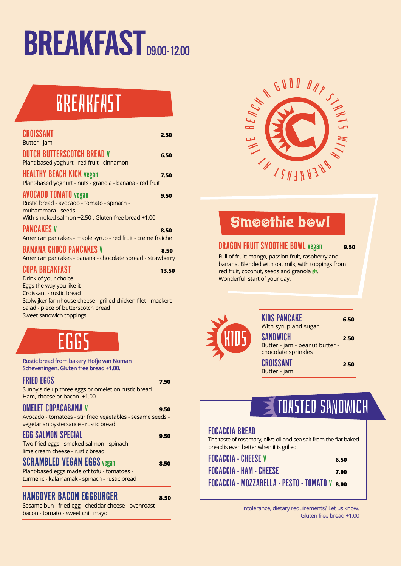# BREAKFAST<sub>09.00-12.00</sub>

## **BREAKFAST**

|                                                                                                                                                                         |       | c                                                                    |
|-------------------------------------------------------------------------------------------------------------------------------------------------------------------------|-------|----------------------------------------------------------------------|
| CROISSANT<br>Butter - jam                                                                                                                                               | 2.50  |                                                                      |
| <b>DUTCH BUTTERSCOTCH BREAD V</b><br>Plant-based yoghurt - red fruit - cinnamon                                                                                         | 6.50  |                                                                      |
| <b>HEALTHY BEACH KICK vegan</b><br>Plant-based yoghurt - nuts - granola - banana - red fruit                                                                            | 7.50  |                                                                      |
| <b>AVOCADO TOMATO</b> vegan<br>Rustic bread - avocado - tomato - spinach -<br>muhammara - seeds<br>With smoked salmon +2.50. Gluten free bread +1.00                    | 9.50  |                                                                      |
| <b>PANCAKES V</b><br>American pancakes - maple syrup - red fruit - creme fraiche                                                                                        | 8.50  |                                                                      |
| <b>BANANA CHOCO PANCAKES V</b><br>American pancakes - banana - chocolate spread - strawberry                                                                            | 8.50  | <b>DRAGON F</b><br>Full of fruit:                                    |
| <b>COPA BREAKFAST</b><br>Drink of your choice<br>Eggs the way you like it<br>Croissant - rustic bread<br>Stolwijker farmhouse cheese - grilled chicken filet - mackerel | 13.50 | banana. Ble<br>red fruit, cc<br>Wonderfull                           |
| Salad - piece of butterscotch bread<br>Sweet sandwich toppings                                                                                                          |       |                                                                      |
| EGGS                                                                                                                                                                    |       | ECHIDS                                                               |
| Rustic bread from bakery Hofje van Noman<br>Scheveningen. Gluten free bread +1.00.                                                                                      |       |                                                                      |
| <b>FRIED EGGS</b><br>Sunny side up three eggs or omelet on rustic bread<br>Ham, cheese or bacon +1.00                                                                   | 7.50  |                                                                      |
| <b>OMELET COPACABANA V</b><br>Avocado - tomatoes - stir fried vegetables - sesame seeds -<br>vegetarian oystersauce - rustic bread                                      | 9.50  |                                                                      |
| <b>EGG SALMON SPECIAL</b><br>Two fried eggs - smoked salmon - spinach -<br>lime cream cheese - rustic bread                                                             | 9.50  | <b>FOCACCIA BRI</b><br>The taste of rose<br>bread is even be         |
| <b>SCRAMBLED VEGAN EGGS vegan</b><br>Plant-based eggs made off tofu - tomatoes -<br>turmeric - kala namak - spinach - rustic bread                                      | 8.50  | <b>FOCACCIA - CH</b><br><b>FOCACCIA - HA</b><br><b>FOCACCIA - MI</b> |
| <b>HANGOVER BACON EGGBURGER</b>                                                                                                                                         | 8.50  |                                                                      |
| Sesame bun - fried egg - cheddar cheese - ovenroast<br>hacon - tomato - sweet chili mayo                                                                                |       | In                                                                   |



### Smoothie bowl

#### DRAGON FRUIT SMOOTHIE BOWL vegan **9.50**

Full of fruit: mango, passion fruit, raspberry and banana. Blended with oat milk, with toppings from red fruit, coconut, seeds and granola glv. Wonderfull start of your day.



| <b>KIDS PANCAKE</b><br>With syrup and sugar                       | 6.50 |
|-------------------------------------------------------------------|------|
| SANDWICH<br>Butter - jam - peanut butter -<br>chocolate sprinkles | 2.50 |
| CROISSANT                                                         | 2.50 |

## TOASTED sandwich

#### FOCACCIA BREAD

The taste of rosemary, olive oil and sea salt from the flat baked bread is even better when it is grilled!

Butter - jam

| <b>FOCACCIA - CHEESE V</b>                    | 6.50 |
|-----------------------------------------------|------|
| <b>FOCACCIA - HAM - CHEESE</b>                | 7.00 |
| FOCACCIA - MOZZARELLA - PESTO - TOMATO V 8.00 |      |

Intolerance, dietary requirements? Let us know. Gluten free bread +1.00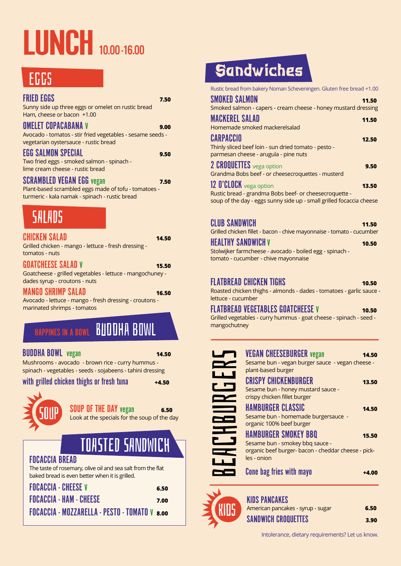# LUNCH 10.00-16.00

## **EGGS**

| <b>FRIED EGGS</b><br>Sunny side up three eggs or omelet on rustic bread<br>Ham, cheese or bacon +1.00                                      | 7.50  |
|--------------------------------------------------------------------------------------------------------------------------------------------|-------|
| OMELET COPACABANA V<br>Avocado - tomatos - stir fried vegetables - sesame seeds -<br>vegetarian oystersauce - rustic bread                 | 9.00  |
| <b>EGG SALMON SPECIAL</b><br>Two fried eggs - smoked salmon - spinach -<br>lime cream cheese - rustic bread                                | 9.50  |
| <b>SCRAMBLED VEGAN EGG vegan</b><br>Plant-based scrambled eggs made of tofu - tomatoes -<br>turmeric - kala namak - spinach - rustic bread | 7.50  |
|                                                                                                                                            |       |
| SALADS                                                                                                                                     |       |
| CHICKEN SALAD<br>Grilled chicken - mango - lettuce - fresh dressing -<br>tomatos - nuts                                                    | 14.50 |
| GOATCHEESE SALAD V<br>Goatcheese - grilled vegetables - lettuce - mangochuney -<br>dades syrup - croutons - nuts                           | 15.50 |

## **FRAPPINES IN A BOWL BUDDHA BOWL**

#### BUDDHA BOWL vegan **14.50**

Mushrooms - avocado - brown rice - curry hummus spinach - vegetables - seeds - sojabeens - tahini dressing

with grilled chicken thighs or fresh tuna **+4.50** 



SOUP OF THE DAY vegan **6.50** Look at the specials for the soup of the day

## TOASTED SANDWICH

#### FOCACCIA BREAD

The taste of rosemary, olive oil and sea salt from the flat baked bread is even better when it is grilled.

| <b>FOCACCIA - CHEESE V</b>                           | 6.50 |
|------------------------------------------------------|------|
| <b>FOCACCIA - HAM - CHEESE</b>                       | 7.00 |
| <b>FOCACCIA - MOZZARELLA - PESTO - TOMATO V 8.00</b> |      |
|                                                      |      |

## Sandwiches

Rustic bread from bakery Noman Scheveningen. Gluten free bread +1.00

| <b>SMOKED SALMON</b>                                                  | 11.50 |
|-----------------------------------------------------------------------|-------|
| Smoked salmon - capers - cream cheese - honey mustard dressing        |       |
| <b>MACKEREL SALAD</b>                                                 | 11.50 |
| Homemade smoked mackerelsalad                                         |       |
| CARPACCIO                                                             | 12.50 |
| Thinly sliced beef loin - sun dried tomato - pesto -                  |       |
| parmesan cheese - arugula - pine nuts                                 |       |
| 2 <b>CROQUETTES</b> vega option                                       | 9.50  |
| Grandma Bobs beef - or cheesecroquettes - musterd                     |       |
| 12 O'CLOCK vega option                                                | 13.50 |
| Rustic bread - grandma Bobs beef- or cheesecroquette -                |       |
| soup of the day - eggs sunny side up - small grilled focaccia cheese  |       |
|                                                                       |       |
| <b>CLUB SANDWICH</b>                                                  | 11.50 |
| Grilled chicken fillet - bacon - chive mayonnaise - tomato - cucumber |       |

#### **HEALTHY SANDWICH** V **10.50**

Stolwijker farmcheese - avocado - boiled egg - spinach tomato - cucumber - chive mayonnaise

#### FLATBREAD CHICKEN TIGHS **10.50**

Roasted chicken thighs - almonds - dades - tomatoes - garlic sauce lettuce - cucumber

#### **FLATBREAD VEGETABLES GOATCHEESE V** 10.50

Grilled vegetables - curry hummus - goat cheese - spinach - seed mangochutney

|                          | <b>VEGAN CHEESEBURGER vegan</b>                                                                   | 14.50 |
|--------------------------|---------------------------------------------------------------------------------------------------|-------|
|                          | Sesame bun - vegan burger sauce - vegan cheese -<br>plant-based burger                            |       |
|                          | <b>CRISPY CHICKENBURGER</b><br>Sesame bun - honey mustard sauce -<br>crispy chicken fillet burger | 13.50 |
|                          | HAMBURGER CLASSIC<br>Sesame bun - homemade burgersauce -<br>organic 100% beef burger              | 14.50 |
| <u>e de la p</u>         | <b>HAMBURGER SMOKEY BBQ</b><br>Sesame bun - smokey bbq sauce -                                    | 15.50 |
| $\overline{\phantom{a}}$ | organic beef burger- bacon - cheddar cheese - pick-<br>les - onion                                |       |
|                          | Cone bag fries with mayo                                                                          | +4.00 |
|                          |                                                                                                   |       |



| <b>KIDS PANCAKES</b>              |      |
|-----------------------------------|------|
| American pancakes - syrup - sugar | 6.50 |
| <b>SANDWICH CROQUETTES</b>        | 3.90 |

Intolerance, dietary requirements? Let us know.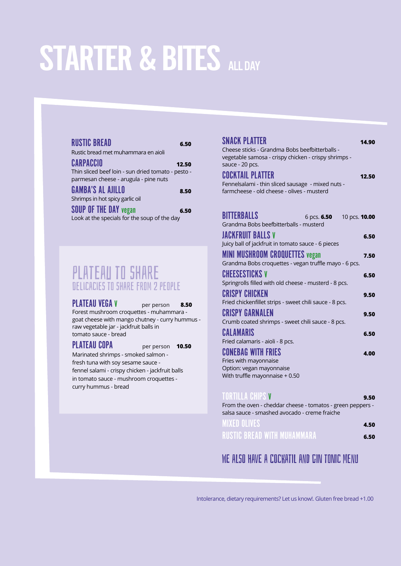# STARTER & BITES ALL DAY

| <b>RUSTIC BREAD</b><br>6.50<br>Rustic bread met muhammara en aioli                   |
|--------------------------------------------------------------------------------------|
|                                                                                      |
| CARPACCIO<br>12.50                                                                   |
| Thin sliced beef loin - sun dried tomato - pesto -                                   |
| parmesan cheese - arugula - pine nuts                                                |
| <b>GAMBA'S AL AJILLO</b><br>8.50                                                     |
| Shrimps in hot spicy garlic oil                                                      |
| <b>SOUP OF THE DAY vegan</b><br>6.50<br>Look at the specials for the soup of the day |

### plateau to share delicacies to share from 2 people

PLATEAU VEGA V per person 8.50 Forest mushroom croquettes - muhammara goat cheese with mango chutney - curry hummus raw vegetable jar - jackfruit balls in tomato sauce - bread

#### PLATEAU COPA per person **10.50**

Marinated shrimps - smoked salmon fresh tuna with soy sesame sauce fennel salami - crispy chicken - jackfruit balls in tomato sauce - mushroom croquettes curry hummus - bread

| SNACK PLATTER                                                                                   | 14.90 |
|-------------------------------------------------------------------------------------------------|-------|
| Cheese sticks - Grandma Bobs beefbitterballs -                                                  |       |
| vegetable samosa - crispy chicken - crispy shrimps -<br>sauce - 20 pcs.                         |       |
|                                                                                                 |       |
| <b>COCKTAIL PLATTER</b>                                                                         | 12.50 |
| Fennelsalami - thin sliced sausage - mixed nuts -<br>farmcheese - old cheese - olives - musterd |       |
|                                                                                                 |       |
|                                                                                                 |       |
| <b>BITTERBALLS</b><br>6 pcs. <b>6.50</b><br>10 pcs. <b>10.00</b>                                |       |
| Grandma Bobs beefbitterballs - musterd                                                          |       |
| JACKFRUIT BALLS V                                                                               | 6.50  |
| Juicy ball of jackfruit in tomato sauce - 6 pieces                                              |       |
| <b>MINI MUSHROOM CROQUETTES vegan</b>                                                           | 7.50  |
| Grandma Bobs croquettes - vegan truffle mayo - 6 pcs.                                           |       |
| CHEESESTICKS V                                                                                  | 6.50  |
| Springrolls filled with old cheese - musterd - 8 pcs.                                           |       |
| CRISPY CHICKEN                                                                                  | 9.50  |
| Fried chickenfillet strips - sweet chili sauce - 8 pcs.                                         |       |
| <b>CRISPY GARNALEN</b>                                                                          | 9.50  |
| Crumb coated shrimps - sweet chili sauce - 8 pcs.                                               |       |
| CALAMARIS                                                                                       | 6.50  |
| Fried calamaris - aioli - 8 pcs.                                                                |       |
| <b>CONEBAG WITH FRIES</b>                                                                       | 4.00  |
| Fries with mayonnaise<br>Option: vegan mayonnaise                                               |       |
| With truffle mayonnaise + 0.50                                                                  |       |
|                                                                                                 |       |
| TORTILLA CHIPS V                                                                                | 9.50  |
|                                                                                                 |       |

| From the oven - cheddar cheese - tomatos - green peppers -<br>salsa sauce - smashed avocado - creme fraiche |      |  |  |
|-------------------------------------------------------------------------------------------------------------|------|--|--|
| <b>MIXED OLIVES</b>                                                                                         | 4.50 |  |  |
| <b>RUSTIC BREAD WITH MUHAMMARA</b>                                                                          | 6.50 |  |  |

#### WE ALSO HAVE A COCKATIL AND GIN TONIC MENII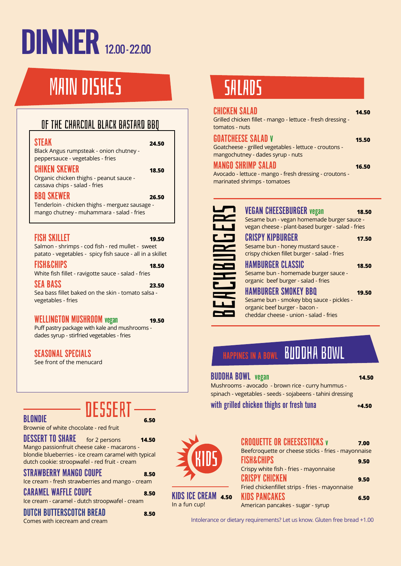# **DINNER** 12.00-22.00

## MAIN DISHES

### of the charcoal black bastard bbq

| ٠  |  |  |
|----|--|--|
| ۰. |  |  |

STEAK **24.50** Black Angus rumpsteak - onion chutney peppersauce - vegetables - fries

CHIKEN SKEWER **18.50** Organic chicken thighs - peanut sauce cassava chips - salad - fries

BBQ SKEWER **26.50** Tenderloin - chicken thighs - merguez sausage mango chutney - muhammara - salad - fries

#### FISH SKILLET **19.50**

Salmon - shrimps - cod fish - red mullet - sweet patato - vegetables - spicy fish sauce - all in a skillet

FISH&CHIPS **18.50** White fish fillet - ravigotte sauce - salad - fries

SEA BASS **23.50** Sea bass fillet baked on the skin - tomato salsa vegetables - fries

#### WELLINGTON MUSHROOM vegan **19.50**

Puff pastry package with kale and mushrooms dades syrup - stirfried vegetables - fries

SEASONAL SPECIALS

See front of the menucard

**BLONDIE BLODE**<sup>11</sup> 650 dessert

Brownie of white chocolate - red fruit

DESSERT TO SHARE for 2 persons **14.50** Mango passionfruit cheese cake - macarons blondie blueberries - ice cream caramel with typical dutch cookie: stroopwafel - red fruit - cream

#### STRAWBERRY MANGO COUPE **8.50**

Ice cream - fresh strawberries and mango - cream

CARAMEL WAFFLE COUPE **8.50** Ice cream - caramel - dutch stroopwafel - cream

#### DUTCH BUTTERSC0TCH BREAD **8.50**

Comes with icecream and cream

## SALADS

| <b>CHICKEN SALAD</b><br>Grilled chicken fillet - mango - lettuce - fresh dressing -<br>tomatos - nuts                    | 14.50 |
|--------------------------------------------------------------------------------------------------------------------------|-------|
| <b>GOATCHEESE SALAD V</b><br>Goatcheese - grilled vegetables - lettuce - croutons -<br>mangochutney - dades syrup - nuts | 15.50 |
| <b>MANGO SHRIMP SALAD</b><br>Avocado - lettuce - mango - fresh dressing - croutons -<br>marinated shrimps - tomatoes     | 16.50 |
|                                                                                                                          |       |

| LT                       |   |
|--------------------------|---|
| $\mathbf{r}$             |   |
| $\mathbf{L}$             |   |
| 25                       |   |
| $\mathbf{r}$             |   |
|                          | J |
| 63                       |   |
|                          |   |
| $\overline{\phantom{a}}$ |   |
| <u>e de la</u>           |   |
| <u>in the set</u>        |   |
| <b>23</b>                |   |

KIDS

KIDS ICE CREAM **4.50**

In a fun cup!

| <b>VEGAN CHEESEBURGER vegan</b>                                                                 | 18.50 |
|-------------------------------------------------------------------------------------------------|-------|
| Sesame bun - vegan homemade burger sauce -<br>vegan cheese - plant-based burger - salad - fries |       |
| <b>CRISPY KIPBURGER</b>                                                                         | 17.50 |
| Sesame bun - honey mustard sauce -                                                              |       |
| crispy chicken fillet burger - salad - fries                                                    |       |
| <b>HAMBURGER CLASSIC</b>                                                                        | 18.50 |
| Sesame bun - homemade burger sauce -                                                            |       |
| organic beef burger - salad - fries                                                             |       |
| <b>HAMBURGER SMOKEY BBQ</b>                                                                     | 19.50 |
| Sesame bun - smokey bbq sauce - pickles -                                                       |       |
| organic beef burger - bacon -                                                                   |       |
| cheddar cheese - union - salad - fries                                                          |       |

## **FRAPPINES IN A BOWL BUDDHA BOWL**

#### BUDDHA BOWL vegan **14.50**

Mushrooms - avocado - brown rice - curry hummus spinach - vegetables - seeds - sojabeens - tahini dressing

with grilled chicken thighs or fresh tuna **+4.50** 



| Beefcroquette or cheese sticks - fries - mayonnaise |      |
|-----------------------------------------------------|------|
| <b>FISH&amp;CHIPS</b>                               | 9.50 |
| Crispy white fish - fries - mayonnaise              |      |
| <b>CRISPY CHICKEN</b>                               | 9.50 |
| Fried chickenfillet strips - fries - mayonnaise     |      |
| <b>KIDS PANCAKES</b>                                | 6.50 |
| American pancakes - sugar - syrup                   |      |
|                                                     |      |

Intolerance or dietary requirements? Let us know. Gluten free bread +1.00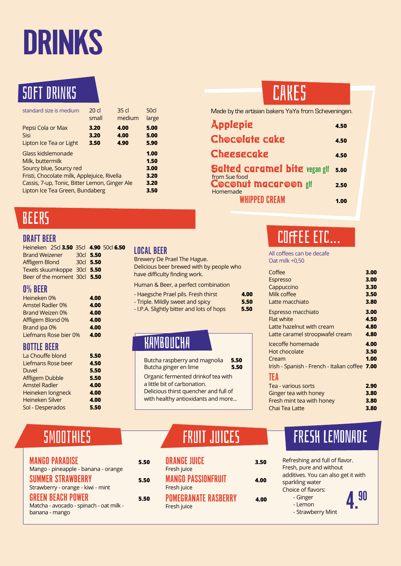# DRINKS

## soft DRinks

| standard size is medium                                                                                                                                                                              | 20 <sub>cl</sub> | 35 <sub>cl</sub> | 50 <sub>cl</sub>                             |
|------------------------------------------------------------------------------------------------------------------------------------------------------------------------------------------------------|------------------|------------------|----------------------------------------------|
|                                                                                                                                                                                                      | small            | medium           | large                                        |
| Pepsi Cola or Max                                                                                                                                                                                    | 3.20             | 4.00             | 5.00                                         |
| Sisi                                                                                                                                                                                                 | 3.20             | 4.00             | 5.00                                         |
| Lipton Ice Tea or Light                                                                                                                                                                              | 3.50             | 4.90             | 5.90                                         |
| Glass kidslemonade<br>Milk, buttermilk<br>Sourcy blue, Sourcy red<br>Fristi, Chocolate milk, Applejuice, Rivella<br>Cassis, 7-up, Tonic, Bitter Lemon, Ginger Ale<br>Lipton Ice Tea Green, Bundaberg |                  |                  | 1.00<br>1.50<br>3.00<br>3.20<br>3.20<br>3.50 |

## BEERS

#### DRAFT BEER

| Heineken 25cl 3.50 35cl 4.90 50cl 6.50 |           |  |
|----------------------------------------|-----------|--|
| <b>Brand Weizener</b>                  | 30cl 5.50 |  |
| Affligem Blond                         | 30cl 5.50 |  |
| Texels skuumkoppe 30cl 5.50            |           |  |
| Beer of the moment 30cl 5.50           |           |  |

#### 0% BEER

| Heineken 0%             | 4.00 |
|-------------------------|------|
| <b>Amstel Radler 0%</b> | 4.00 |
| <b>Brand Weizen 0%</b>  | 4.00 |
| Affligem Blond 0%       | 4.00 |
| Brand ipa 0%            | 4.00 |
| Liefmans Rose bier 0%   | 4.00 |

#### BOTTLE BEER

| La Chouffe blond       | 5.50 |
|------------------------|------|
| Liefmans Rose beer     | 4.50 |
| Duvel                  | 5.50 |
| Affligem Dubble        | 5.50 |
| <b>Amstel Radler</b>   | 4.00 |
| Heineken longneck      | 4.00 |
| <b>Heineken Silver</b> | 4.00 |
| Sol - Desperados       | 5.50 |

#### LOCAL BEER

| Brewery De Prael The Hague.              |
|------------------------------------------|
| Delicious beer brewed with by people who |
| have difficulty finding work.            |

#### Human & Beer, a perfect combination

| - Haegsche Prael pils. Fresh thirst       | 4.00 |
|-------------------------------------------|------|
| - Triple. Mildly sweet and spicy          | 5.50 |
| - I.P.A. Slightly bitter and lots of hops | 5.50 |
|                                           |      |

### KAMBOUCHA

| Butcha raspberry and magnolia                                                                                                                     | 5.50 |
|---------------------------------------------------------------------------------------------------------------------------------------------------|------|
| Butcha ginger en lime                                                                                                                             | 5.50 |
| Organic fermented drinkof tea with<br>a little bit of carbonation.<br>Delicious thirst quencher and full of<br>with healthy antioxidants and more |      |

## **CAKES**

Made by the artisian bakers YaYa from Scheveningen.

| Applepie                                              | 4.50 |
|-------------------------------------------------------|------|
| <b>Chocolate cake</b>                                 | 4.50 |
| <b>Cheesecake</b>                                     | 4.50 |
| <b>Salted caramel bite vegan glf</b><br>from Sue food | 5.00 |
| <b>Coconut macaroon gif</b><br>Homemade               | 2.50 |
| <b><i>WHIPPED CREAM</i></b>                           | 1.00 |

## coffee etc...

All coffees can be decafe Oat milk +0,50

| Coffee                                         | 3.00 |
|------------------------------------------------|------|
| <b>Espresso</b>                                | 3.00 |
| Cappuccino                                     | 3.30 |
| Milk coffee                                    | 3.50 |
| Latte macchiato                                | 3.80 |
| Espresso macchiato                             | 3.00 |
| <b>Flat white</b>                              | 4.50 |
| Latte hazelnut with cream                      | 4.80 |
| Latte caramel stroopwafel cream                | 4.80 |
| Icecoffe homemade                              | 4.00 |
| Hot chocolate                                  | 3.50 |
| Cream                                          | 1.00 |
| Irish - Spanish - French - Italian coffee 7.00 |      |
| TEA                                            |      |
| Tea - various sorts                            | 2.90 |
| Ginger tea with honey                          | 3.80 |
| Fresh mint tea with honey                      | 3.80 |
| Chai Tea Latte                                 | 3.80 |

|  |  | SMOOTHIES |
|--|--|-----------|
|  |  |           |

| <b>MANGO PARADISE</b>                   | 5.50 |
|-----------------------------------------|------|
| Mango - pineapple - banana - orange     |      |
| <b>SUMMER STRAWBERRY</b>                | 5.50 |
| Strawberry - orange - kiwi - mint       |      |
| GREEN BEACH POWER                       | 5.50 |
| Matcha - avocado - spinach - oat milk - |      |
| banana - mango                          |      |
|                                         |      |

| SMOOTHIES | <b>FRUIT JUICES</b> |
|-----------|---------------------|
|           |                     |

| 5.50 | <b>ORANGE JUICE</b><br>Fresh juice         | 3.50 | Refreshing and full of flavor.<br>Fresh, pure and without                 |
|------|--------------------------------------------|------|---------------------------------------------------------------------------|
| 5.50 | <b>MANGO PASSIONFRUIT</b><br>Fresh juice   | 4.00 | additives. You can also get it w<br>sparkling water<br>Choice of flavors: |
| 5.50 | <b>POMEGRANATE RASBERRY</b><br>Fresh juice | 4.00 | - Ginger<br>- Lemon<br>- Strawberry Mint                                  |

## FRESH LEMONADE

| Refreshing and full of flavor.      |  |
|-------------------------------------|--|
| Fresh, pure and without             |  |
| additives. You can also get it with |  |
| sparkling water                     |  |
| Choice of flavors:                  |  |
| - Ginger                            |  |
| - Lemon                             |  |